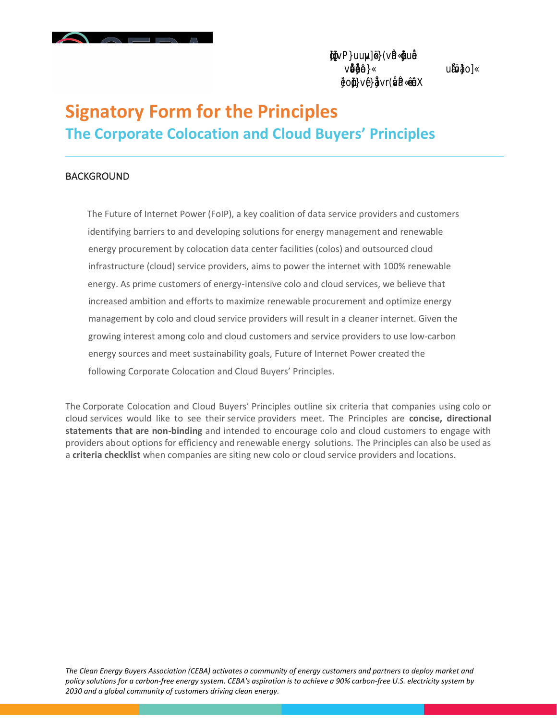## **Signatory Form for the Principles The Corporate Colocation and Cloud Buyers' Principles**

#### **BACKGROUND**

The Future of Internet Power (FoIP), a key coalition of data service providers and customers identifying barriers to and developing solutions for energy management and renewable energy procurement by colocation data center facilities (colos) and outsourced cloud infrastructure (cloud) service providers, aims to power the internet with 100% renewable energy. As prime customers of energy-intensive colo and cloud services, we believe that increased ambition and efforts to maximize renewable procurement and optimize energy management by colo and cloud service providers will result in a cleaner internet. Given the growing interest among colo and cloud customers and service providers to use low-carbon energy sources and meet sustainability goals, Future of Internet Power created the following Corporate Colocation and Cloud Buyers' Principles.

The Corporate Colocation and Cloud Buyers' Principles outline six criteria that companies using colo or cloud services would like to see their service providers meet. The Principles are **concise, directional statements that are non-binding** and intended to encourage colo and cloud customers to engage with providers about options for efficiency and renewable energy solutions. The Principles can also be used as a **criteria checklist** when companies are siting new colo or cloud service providers and locations.

*The Clean Energy Buyers Association (CEBA) activates a community of energy customers and partners to deploy market and policy solutions for a carbon-free energy system. CEBA's aspiration is to achieve a 90% carbon-free U.S. electricity system by 2030 and a global community of customers driving clean energy.*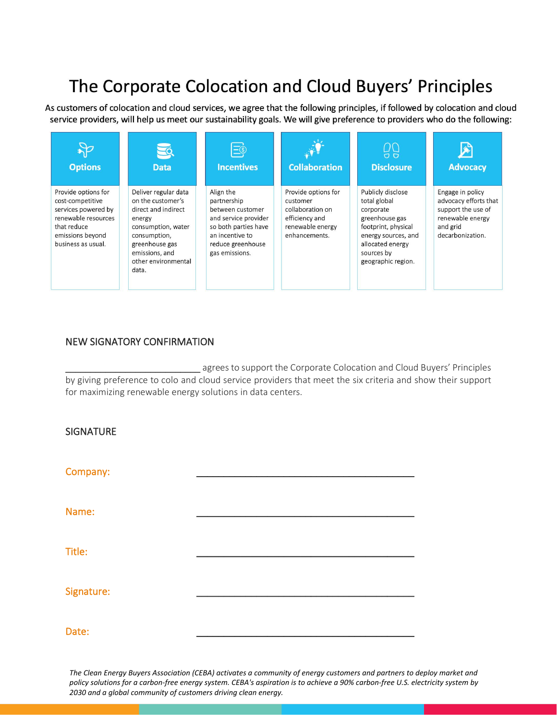# The Corporate Colocation and Cloud Buyers' Principles

As customers of colocation and cloud services, we agree that the following principles, if followed by colocation and cloud service providers, will help us meet our sustainability goals. We will give preference to providers who do the following:



### NEW SIGNATORY CONFIRMATION

agrees to support the Corporate Colocation and Cloud Buyers' Principles by giving preference to colo and cloud service providers that meet the six criteria and show their support for maximizing renewable energy solutions in data centers.

| <b>SIGNATURE</b> |  |
|------------------|--|
| Company:         |  |
| Name:            |  |
| Title:           |  |
| Signature:       |  |
| Date:            |  |

*The Clean Energy Buyers Association (CEBA) activates a community of energy customers and partners to deploy market and policy solutions for a carbon-free energy system. CEBA's aspiration is to achieve a 90% carbon-free U.S. electricity system by 2030 and a global community of customers driving clean energy.*